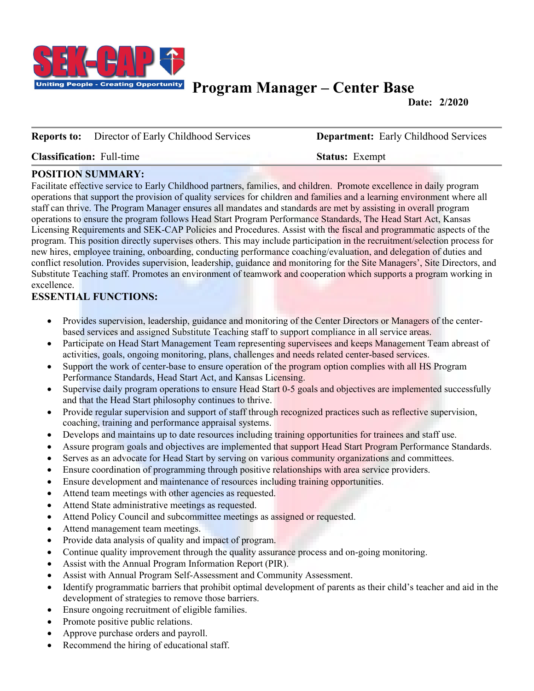

# **Program Manager – Center Base**

**Date: 2/2020**

#### **Reports to:** Director of Early Childhood Services **Department:** Early Childhood Services

**Classification:** Full-time **Status:** Exempt

#### **POSITION SUMMARY:**

Facilitate effective service to Early Childhood partners, families, and children. Promote excellence in daily program operations that support the provision of quality services for children and families and a learning environment where all staff can thrive. The Program Manager ensures all mandates and standards are met by assisting in overall program operations to ensure the program follows Head Start Program Performance Standards, The Head Start Act, Kansas Licensing Requirements and SEK-CAP Policies and Procedures. Assist with the fiscal and programmatic aspects of the program. This position directly supervises others. This may include participation in the recruitment/selection process for new hires, employee training, onboarding, conducting performance coaching/evaluation, and delegation of duties and conflict resolution. Provides supervision, leadership, guidance and monitoring for the Site Managers', Site Directors, and Substitute Teaching staff. Promotes an environment of teamwork and cooperation which supports a program working in excellence.

## **ESSENTIAL FUNCTIONS:**

- Provides supervision, leadership, guidance and monitoring of the Center Directors or Managers of the centerbased services and assigned Substitute Teaching staff to support compliance in all service areas.
- Participate on Head Start Management Team representing supervisees and keeps Management Team abreast of activities, goals, ongoing monitoring, plans, challenges and needs related center-based services.
- Support the work of center-base to ensure operation of the program option complies with all HS Program Performance Standards, Head Start Act, and Kansas Licensing.
- Supervise daily program operations to ensure Head Start 0-5 goals and objectives are implemented successfully and that the Head Start philosophy continues to thrive.
- Provide regular supervision and support of staff through recognized practices such as reflective supervision, coaching, training and performance appraisal systems.
- Develops and maintains up to date resources including training opportunities for trainees and staff use.
- Assure program goals and objectives are implemented that support Head Start Program Performance Standards.
- Serves as an advocate for Head Start by serving on various community organizations and committees.
- Ensure coordination of programming through positive relationships with area service providers.
- Ensure development and maintenance of resources including training opportunities.
- Attend team meetings with other agencies as requested.
- Attend State administrative meetings as requested.
- Attend Policy Council and subcommittee meetings as assigned or requested.
- Attend management team meetings.
- Provide data analysis of quality and impact of program.
- Continue quality improvement through the quality assurance process and on-going monitoring.
- Assist with the Annual Program Information Report (PIR).
- Assist with Annual Program Self-Assessment and Community Assessment.
- Identify programmatic barriers that prohibit optimal development of parents as their child's teacher and aid in the development of strategies to remove those barriers.
- Ensure ongoing recruitment of eligible families.
- Promote positive public relations.
- Approve purchase orders and payroll.
- Recommend the hiring of educational staff.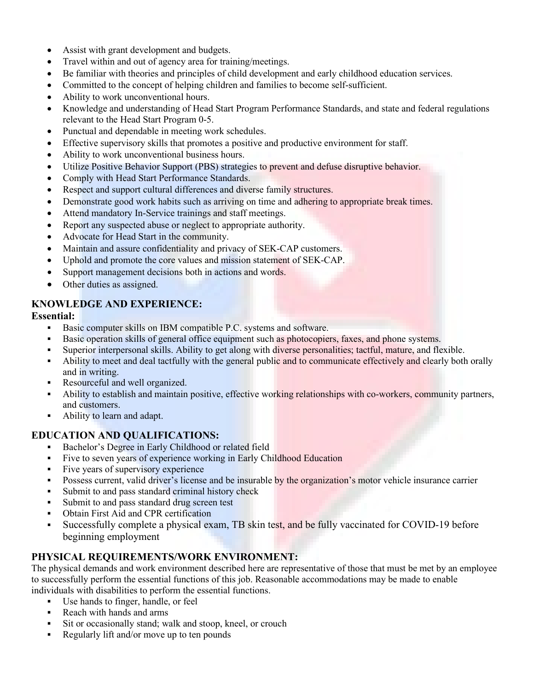- Assist with grant development and budgets.
- Travel within and out of agency area for training/meetings.
- Be familiar with theories and principles of child development and early childhood education services.
- Committed to the concept of helping children and families to become self-sufficient.
- Ability to work unconventional hours.
- Knowledge and understanding of Head Start Program Performance Standards, and state and federal regulations relevant to the Head Start Program 0-5.
- Punctual and dependable in meeting work schedules.
- Effective supervisory skills that promotes a positive and productive environment for staff.
- Ability to work unconventional business hours.
- Utilize Positive Behavior Support (PBS) strategies to prevent and defuse disruptive behavior.
- Comply with Head Start Performance Standards.
- Respect and support cultural differences and diverse family structures.
- Demonstrate good work habits such as arriving on time and adhering to appropriate break times.
- Attend mandatory In-Service trainings and staff meetings.
- Report any suspected abuse or neglect to appropriate authority.
- Advocate for Head Start in the community.
- Maintain and assure confidentiality and privacy of SEK-CAP customers.
- Uphold and promote the core values and mission statement of SEK-CAP.
- Support management decisions both in actions and words.
- Other duties as assigned.

## **KNOWLEDGE AND EXPERIENCE:**

#### **Essential:**

- Basic computer skills on IBM compatible P.C. systems and software.
- Basic operation skills of general office equipment such as photocopiers, faxes, and phone systems.
- Superior interpersonal skills. Ability to get along with diverse personalities; tactful, mature, and flexible.
- Ability to meet and deal tactfully with the general public and to communicate effectively and clearly both orally and in writing.
- Resourceful and well organized.
- Ability to establish and maintain positive, effective working relationships with co-workers, community partners, and customers.
- Ability to learn and adapt.

## **EDUCATION AND QUALIFICATIONS:**

- Bachelor's Degree in Early Childhood or related field
- Five to seven years of experience working in Early Childhood Education
- Five years of supervisory experience
- Possess current, valid driver's license and be insurable by the organization's motor vehicle insurance carrier
- Submit to and pass standard criminal history check
- Submit to and pass standard drug screen test
- Obtain First Aid and CPR certification
- Successfully complete a physical exam, TB skin test, and be fully vaccinated for COVID-19 before beginning employment

## **PHYSICAL REQUIREMENTS/WORK ENVIRONMENT:**

The physical demands and work environment described here are representative of those that must be met by an employee to successfully perform the essential functions of this job. Reasonable accommodations may be made to enable individuals with disabilities to perform the essential functions.

- Use hands to finger, handle, or feel
- Reach with hands and arms
- Sit or occasionally stand; walk and stoop, kneel, or crouch
- Regularly lift and/or move up to ten pounds